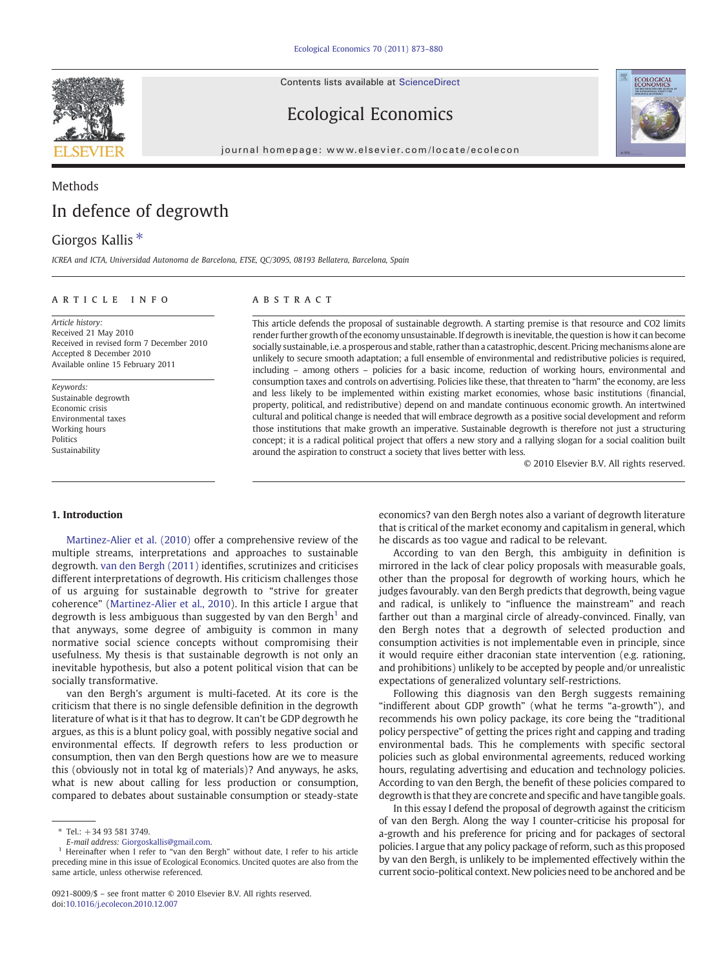Contents lists available at ScienceDirect

Ecological Economics





# Methods In defence of degrowth

## Giorgos Kallis<sup>\*</sup>

ICREA and ICTA, Universidad Autonoma de Barcelona, ETSE, QC/3095, 08193 Bellatera, Barcelona, Spain

#### article info abstract

Article history: Received 21 May 2010 Received in revised form 7 December 2010 Accepted 8 December 2010 Available online 15 February 2011

Keywords: Sustainable degrowth Economic crisis Environmental taxes Working hours Politics Sustainability

This article defends the proposal of sustainable degrowth. A starting premise is that resource and CO2 limits render further growth of the economy unsustainable. If degrowth is inevitable, the question is how it can become socially sustainable, i.e. a prosperous and stable, rather than a catastrophic, descent. Pricing mechanisms alone are unlikely to secure smooth adaptation; a full ensemble of environmental and redistributive policies is required, including – among others – policies for a basic income, reduction of working hours, environmental and consumption taxes and controls on advertising. Policies like these, that threaten to "harm" the economy, are less and less likely to be implemented within existing market economies, whose basic institutions (financial, property, political, and redistributive) depend on and mandate continuous economic growth. An intertwined cultural and political change is needed that will embrace degrowth as a positive social development and reform those institutions that make growth an imperative. Sustainable degrowth is therefore not just a structuring concept; it is a radical political project that offers a new story and a rallying slogan for a social coalition built around the aspiration to construct a society that lives better with less.

© 2010 Elsevier B.V. All rights reserved.

### 1. Introduction

[Martinez-Alier et al. \(2010\)](#page-7-0) offer a comprehensive review of the multiple streams, interpretations and approaches to sustainable degrowth. [van den Bergh \(2011\)](#page-7-0) identifies, scrutinizes and criticises different interpretations of degrowth. His criticism challenges those of us arguing for sustainable degrowth to "strive for greater coherence" [\(Martinez-Alier et al., 2010](#page-7-0)). In this article I argue that degrowth is less ambiguous than suggested by van den Bergh<sup>1</sup> and that anyways, some degree of ambiguity is common in many normative social science concepts without compromising their usefulness. My thesis is that sustainable degrowth is not only an inevitable hypothesis, but also a potent political vision that can be socially transformative.

van den Bergh's argument is multi-faceted. At its core is the criticism that there is no single defensible definition in the degrowth literature of what is it that has to degrow. It can't be GDP degrowth he argues, as this is a blunt policy goal, with possibly negative social and environmental effects. If degrowth refers to less production or consumption, then van den Bergh questions how are we to measure this (obviously not in total kg of materials)? And anyways, he asks, what is new about calling for less production or consumption, compared to debates about sustainable consumption or steady-state

economics? van den Bergh notes also a variant of degrowth literature that is critical of the market economy and capitalism in general, which he discards as too vague and radical to be relevant.

According to van den Bergh, this ambiguity in definition is mirrored in the lack of clear policy proposals with measurable goals, other than the proposal for degrowth of working hours, which he judges favourably. van den Bergh predicts that degrowth, being vague and radical, is unlikely to "influence the mainstream" and reach farther out than a marginal circle of already-convinced. Finally, van den Bergh notes that a degrowth of selected production and consumption activities is not implementable even in principle, since it would require either draconian state intervention (e.g. rationing, and prohibitions) unlikely to be accepted by people and/or unrealistic expectations of generalized voluntary self-restrictions.

Following this diagnosis van den Bergh suggests remaining "indifferent about GDP growth" (what he terms "a-growth"), and recommends his own policy package, its core being the "traditional policy perspective" of getting the prices right and capping and trading environmental bads. This he complements with specific sectoral policies such as global environmental agreements, reduced working hours, regulating advertising and education and technology policies. According to van den Bergh, the benefit of these policies compared to degrowth is that they are concrete and specific and have tangible goals.

In this essay I defend the proposal of degrowth against the criticism of van den Bergh. Along the way I counter-criticise his proposal for a-growth and his preference for pricing and for packages of sectoral policies. I argue that any policy package of reform, such as this proposed by van den Bergh, is unlikely to be implemented effectively within the current socio-political context. New policies need to be anchored and be

<sup>⁎</sup> Tel.: +34 93 581 3749.

E-mail address: [Giorgoskallis@gmail.com](mailto:Giorgoskallis@gmail.com).

<sup>1</sup> Hereinafter when I refer to "van den Bergh" without date, I refer to his article preceding mine in this issue of Ecological Economics. Uncited quotes are also from the same article, unless otherwise referenced.

<sup>0921-8009/\$</sup> – see front matter © 2010 Elsevier B.V. All rights reserved. doi:[10.1016/j.ecolecon.2010.12.007](http://dx.doi.org/10.1016/j.ecolecon.2010.12.007)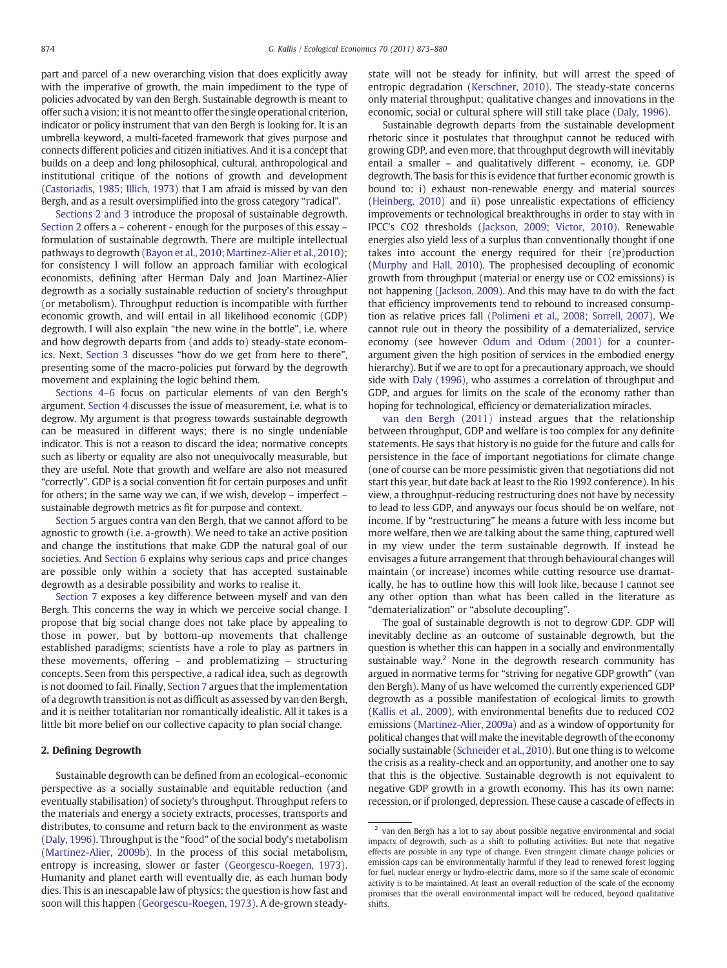part and parcel of a new overarching vision that does explicitly away with the imperative of growth, the main impediment to the type of policies advocated by van den Bergh. Sustainable degrowth is meant to offer such a vision; it is not meant to offer the single operational criterion, indicator or policy instrument that van den Bergh is looking for. It is an umbrella keyword, a multi-faceted framework that gives purpose and connects different policies and citizen initiatives. And it is a concept that builds on a deep and long philosophical, cultural, anthropological and institutional critique of the notions of growth and development [\(Castoriadis, 1985; Illich, 1973\)](#page-6-0) that I am afraid is missed by van den Bergh, and as a result oversimplified into the gross category "radical".

Sections 2 and 3 introduce the proposal of sustainable degrowth. Section 2 offers a – coherent - enough for the purposes of this essay – formulation of sustainable degrowth. There are multiple intellectual pathways to degrowth ([Bayon et al., 2010; Martinez-Alier et al., 2010\)](#page-6-0); for consistency I will follow an approach familiar with ecological economists, defining after Herman Daly and Joan Martinez-Alier degrowth as a socially sustainable reduction of society's throughput (or metabolism). Throughput reduction is incompatible with further economic growth, and will entail in all likelihood economic (GDP) degrowth. I will also explain "the new wine in the bottle", i.e. where and how degrowth departs from (and adds to) steady-state economics. Next, [Section 3](#page-3-0) discusses "how do we get from here to there", presenting some of the macro-policies put forward by the degrowth movement and explaining the logic behind them.

[Sections 4](#page-3-0)–6 focus on particular elements of van den Bergh's argument. [Section 4](#page-3-0) discusses the issue of measurement, i.e. what is to degrow. My argument is that progress towards sustainable degrowth can be measured in different ways; there is no single undeniable indicator. This is not a reason to discard the idea; normative concepts such as liberty or equality are also not unequivocally measurable, but they are useful. Note that growth and welfare are also not measured "correctly". GDP is a social convention fit for certain purposes and unfit for others; in the same way we can, if we wish, develop – imperfect – sustainable degrowth metrics as fit for purpose and context.

[Section 5](#page-4-0) argues contra van den Bergh, that we cannot afford to be agnostic to growth (i.e. a-growth). We need to take an active position and change the institutions that make GDP the natural goal of our societies. And [Section 6](#page-4-0) explains why serious caps and price changes are possible only within a society that has accepted sustainable degrowth as a desirable possibility and works to realise it.

[Section 7](#page-5-0) exposes a key difference between myself and van den Bergh. This concerns the way in which we perceive social change. I propose that big social change does not take place by appealing to those in power, but by bottom-up movements that challenge established paradigms; scientists have a role to play as partners in these movements, offering – and problematizing – structuring concepts. Seen from this perspective, a radical idea, such as degrowth is not doomed to fail. Finally, [Section 7](#page-5-0) argues that the implementation of a degrowth transition is not as difficult as assessed by van den Bergh, and it is neither totalitarian nor romantically idealistic. All it takes is a little bit more belief on our collective capacity to plan social change.

#### 2. Defining Degrowth

Sustainable degrowth can be defined from an ecological–economic perspective as a socially sustainable and equitable reduction (and eventually stabilisation) of society's throughput. Throughput refers to the materials and energy a society extracts, processes, transports and distributes, to consume and return back to the environment as waste [\(Daly, 1996](#page-6-0)). Throughput is the "food" of the social body's metabolism [\(Martinez-Alier, 2009b](#page-7-0)). In the process of this social metabolism, entropy is increasing, slower or faster ([Georgescu-Roegen, 1973](#page-6-0)). Humanity and planet earth will eventually die, as each human body dies. This is an inescapable law of physics; the question is how fast and soon will this happen ([Georgescu-Roegen, 1973](#page-6-0)). A de-grown steadystate will not be steady for infinity, but will arrest the speed of entropic degradation [\(Kerschner, 2010\)](#page-7-0). The steady-state concerns only material throughput; qualitative changes and innovations in the economic, social or cultural sphere will still take place ([Daly, 1996](#page-6-0)).

Sustainable degrowth departs from the sustainable development rhetoric since it postulates that throughput cannot be reduced with growing GDP, and even more, that throughput degrowth will inevitably entail a smaller – and qualitatively different – economy, i.e. GDP degrowth. The basis for this is evidence that further economic growth is bound to: i) exhaust non-renewable energy and material sources [\(Heinberg, 2010](#page-7-0)) and ii) pose unrealistic expectations of efficiency improvements or technological breakthroughs in order to stay with in IPCC's CO2 thresholds [\(Jackson, 2009; Victor, 2010\)](#page-7-0). Renewable energies also yield less of a surplus than conventionally thought if one takes into account the energy required for their (re)production [\(Murphy and Hall, 2010](#page-7-0)). The prophesised decoupling of economic growth from throughput (material or energy use or CO2 emissions) is not happening ([Jackson, 2009\)](#page-7-0). And this may have to do with the fact that efficiency improvements tend to rebound to increased consumption as relative prices fall [\(Polimeni et al., 2008; Sorrell, 2007\)](#page-7-0). We cannot rule out in theory the possibility of a dematerialized, service economy (see however [Odum and Odum \(2001\)](#page-7-0) for a counterargument given the high position of services in the embodied energy hierarchy). But if we are to opt for a precautionary approach, we should side with [Daly \(1996\),](#page-6-0) who assumes a correlation of throughput and GDP, and argues for limits on the scale of the economy rather than hoping for technological, efficiency or dematerialization miracles.

[van den Bergh \(2011\)](#page-7-0) instead argues that the relationship between throughput, GDP and welfare is too complex for any definite statements. He says that history is no guide for the future and calls for persistence in the face of important negotiations for climate change (one of course can be more pessimistic given that negotiations did not start this year, but date back at least to the Rio 1992 conference). In his view, a throughput-reducing restructuring does not have by necessity to lead to less GDP, and anyways our focus should be on welfare, not income. If by "restructuring" he means a future with less income but more welfare, then we are talking about the same thing, captured well in my view under the term sustainable degrowth. If instead he envisages a future arrangement that through behavioural changes will maintain (or increase) incomes while cutting resource use dramatically, he has to outline how this will look like, because I cannot see any other option than what has been called in the literature as "dematerialization" or "absolute decoupling".

The goal of sustainable degrowth is not to degrow GDP. GDP will inevitably decline as an outcome of sustainable degrowth, but the question is whether this can happen in a socially and environmentally sustainable way.<sup>2</sup> None in the degrowth research community has argued in normative terms for "striving for negative GDP growth" (van den Bergh). Many of us have welcomed the currently experienced GDP degrowth as a possible manifestation of ecological limits to growth [\(Kallis et al., 2009](#page-7-0)), with environmental benefits due to reduced CO2 emissions [\(Martinez-Alier, 2009a](#page-7-0)) and as a window of opportunity for political changes that will make the inevitable degrowth of the economy socially sustainable ([Schneider et al., 2010\)](#page-7-0). But one thing is to welcome the crisis as a reality-check and an opportunity, and another one to say that this is the objective. Sustainable degrowth is not equivalent to negative GDP growth in a growth economy. This has its own name: recession, or if prolonged, depression. These cause a cascade of effects in

 $2$  van den Bergh has a lot to say about possible negative environmental and social impacts of degrowth, such as a shift to polluting activities. But note that negative effects are possible in any type of change. Even stringent climate change policies or emission caps can be environmentally harmful if they lead to renewed forest logging for fuel, nuclear energy or hydro-electric dams, more so if the same scale of economic activity is to be maintained. At least an overall reduction of the scale of the economy promises that the overall environmental impact will be reduced, beyond qualitative shifts.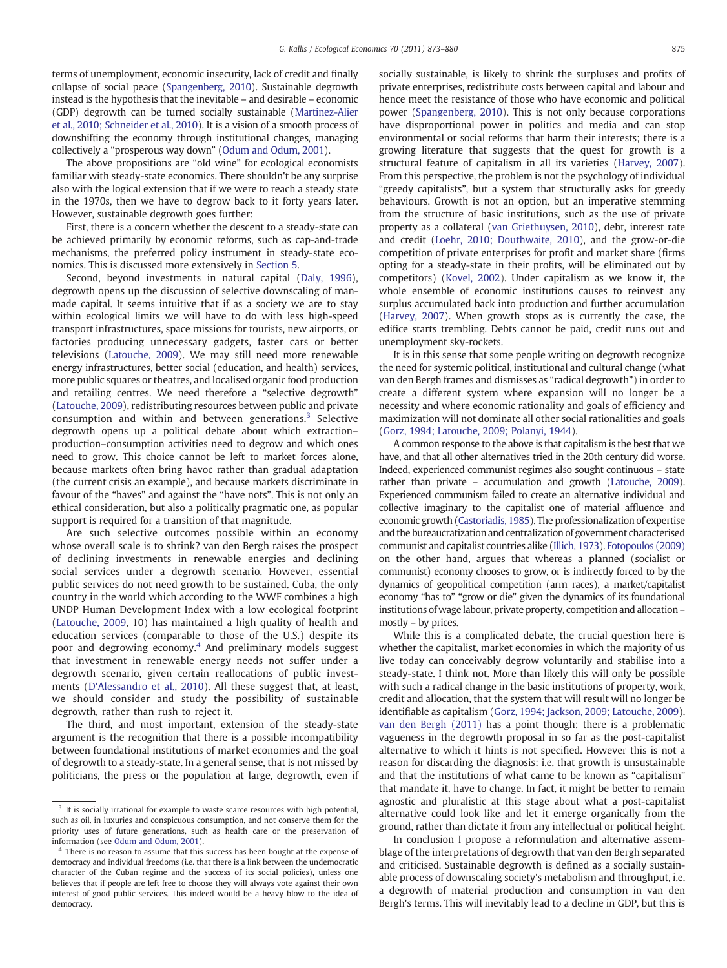terms of unemployment, economic insecurity, lack of credit and finally collapse of social peace [\(Spangenberg, 2010\)](#page-7-0). Sustainable degrowth instead is the hypothesis that the inevitable – and desirable – economic (GDP) degrowth can be turned socially sustainable ([Martinez-Alier](#page-7-0) [et al., 2010; Schneider et al., 2010](#page-7-0)). It is a vision of a smooth process of downshifting the economy through institutional changes, managing collectively a "prosperous way down" [\(Odum and Odum, 2001\)](#page-7-0).

The above propositions are "old wine" for ecological economists familiar with steady-state economics. There shouldn't be any surprise also with the logical extension that if we were to reach a steady state in the 1970s, then we have to degrow back to it forty years later. However, sustainable degrowth goes further:

First, there is a concern whether the descent to a steady-state can be achieved primarily by economic reforms, such as cap-and-trade mechanisms, the preferred policy instrument in steady-state economics. This is discussed more extensively in [Section 5.](#page-4-0)

Second, beyond investments in natural capital ([Daly, 1996](#page-6-0)), degrowth opens up the discussion of selective downscaling of manmade capital. It seems intuitive that if as a society we are to stay within ecological limits we will have to do with less high-speed transport infrastructures, space missions for tourists, new airports, or factories producing unnecessary gadgets, faster cars or better televisions [\(Latouche, 2009](#page-7-0)). We may still need more renewable energy infrastructures, better social (education, and health) services, more public squares or theatres, and localised organic food production and retailing centres. We need therefore a "selective degrowth" [\(Latouche, 2009\)](#page-7-0), redistributing resources between public and private consumption and within and between generations.<sup>3</sup> Selective degrowth opens up a political debate about which extraction– production–consumption activities need to degrow and which ones need to grow. This choice cannot be left to market forces alone, because markets often bring havoc rather than gradual adaptation (the current crisis an example), and because markets discriminate in favour of the "haves" and against the "have nots". This is not only an ethical consideration, but also a politically pragmatic one, as popular support is required for a transition of that magnitude.

Are such selective outcomes possible within an economy whose overall scale is to shrink? van den Bergh raises the prospect of declining investments in renewable energies and declining social services under a degrowth scenario. However, essential public services do not need growth to be sustained. Cuba, the only country in the world which according to the WWF combines a high UNDP Human Development Index with a low ecological footprint [\(Latouche, 2009](#page-7-0), 10) has maintained a high quality of health and education services (comparable to those of the U.S.) despite its poor and degrowing economy.<sup>4</sup> And preliminary models suggest that investment in renewable energy needs not suffer under a degrowth scenario, given certain reallocations of public investments ([D'Alessandro et al., 2010](#page-6-0)). All these suggest that, at least, we should consider and study the possibility of sustainable degrowth, rather than rush to reject it.

The third, and most important, extension of the steady-state argument is the recognition that there is a possible incompatibility between foundational institutions of market economies and the goal of degrowth to a steady-state. In a general sense, that is not missed by politicians, the press or the population at large, degrowth, even if socially sustainable, is likely to shrink the surpluses and profits of private enterprises, redistribute costs between capital and labour and hence meet the resistance of those who have economic and political power ([Spangenberg, 2010\)](#page-7-0). This is not only because corporations have disproportional power in politics and media and can stop environmental or social reforms that harm their interests; there is a growing literature that suggests that the quest for growth is a structural feature of capitalism in all its varieties [\(Harvey, 2007](#page-7-0)). From this perspective, the problem is not the psychology of individual "greedy capitalists", but a system that structurally asks for greedy behaviours. Growth is not an option, but an imperative stemming from the structure of basic institutions, such as the use of private property as a collateral [\(van Griethuysen, 2010\)](#page-7-0), debt, interest rate and credit ([Loehr, 2010; Douthwaite, 2010\)](#page-7-0), and the grow-or-die competition of private enterprises for profit and market share (firms opting for a steady-state in their profits, will be eliminated out by competitors) [\(Kovel, 2002\)](#page-7-0). Under capitalism as we know it, the whole ensemble of economic institutions causes to reinvest any surplus accumulated back into production and further accumulation [\(Harvey, 2007](#page-7-0)). When growth stops as is currently the case, the edifice starts trembling. Debts cannot be paid, credit runs out and unemployment sky-rockets.

It is in this sense that some people writing on degrowth recognize the need for systemic political, institutional and cultural change (what van den Bergh frames and dismisses as "radical degrowth") in order to create a different system where expansion will no longer be a necessity and where economic rationality and goals of efficiency and maximization will not dominate all other social rationalities and goals [\(Gorz, 1994; Latouche, 2009; Polanyi, 1944](#page-6-0)).

A common response to the above is that capitalism is the best that we have, and that all other alternatives tried in the 20th century did worse. Indeed, experienced communist regimes also sought continuous – state rather than private – accumulation and growth ([Latouche, 2009](#page-7-0)). Experienced communism failed to create an alternative individual and collective imaginary to the capitalist one of material affluence and economic growth ([Castoriadis, 1985\)](#page-6-0). The professionalization of expertise and the bureaucratization and centralization of government characterised communist and capitalist countries alike [\(Illich, 1973\)](#page-7-0). [Fotopoulos \(2009\)](#page-6-0) on the other hand, argues that whereas a planned (socialist or communist) economy chooses to grow, or is indirectly forced to by the dynamics of geopolitical competition (arm races), a market/capitalist economy "has to" "grow or die" given the dynamics of its foundational institutions of wage labour, private property, competition and allocation– mostly – by prices.

While this is a complicated debate, the crucial question here is whether the capitalist, market economies in which the majority of us live today can conceivably degrow voluntarily and stabilise into a steady-state. I think not. More than likely this will only be possible with such a radical change in the basic institutions of property, work, credit and allocation, that the system that will result will no longer be identifiable as capitalism [\(Gorz, 1994; Jackson, 2009; Latouche, 2009](#page-6-0)). [van den Bergh \(2011\)](#page-7-0) has a point though: there is a problematic vagueness in the degrowth proposal in so far as the post-capitalist alternative to which it hints is not specified. However this is not a reason for discarding the diagnosis: i.e. that growth is unsustainable and that the institutions of what came to be known as "capitalism" that mandate it, have to change. In fact, it might be better to remain agnostic and pluralistic at this stage about what a post-capitalist alternative could look like and let it emerge organically from the ground, rather than dictate it from any intellectual or political height.

In conclusion I propose a reformulation and alternative assemblage of the interpretations of degrowth that van den Bergh separated and criticised. Sustainable degrowth is defined as a socially sustainable process of downscaling society's metabolism and throughput, i.e. a degrowth of material production and consumption in van den Bergh's terms. This will inevitably lead to a decline in GDP, but this is

<sup>&</sup>lt;sup>3</sup> It is socially irrational for example to waste scarce resources with high potential, such as oil, in luxuries and conspicuous consumption, and not conserve them for the priority uses of future generations, such as health care or the preservation of information (see [Odum and Odum, 2001\)](#page-7-0).

There is no reason to assume that this success has been bought at the expense of democracy and individual freedoms (i.e. that there is a link between the undemocratic character of the Cuban regime and the success of its social policies), unless one believes that if people are left free to choose they will always vote against their own interest of good public services. This indeed would be a heavy blow to the idea of democracy.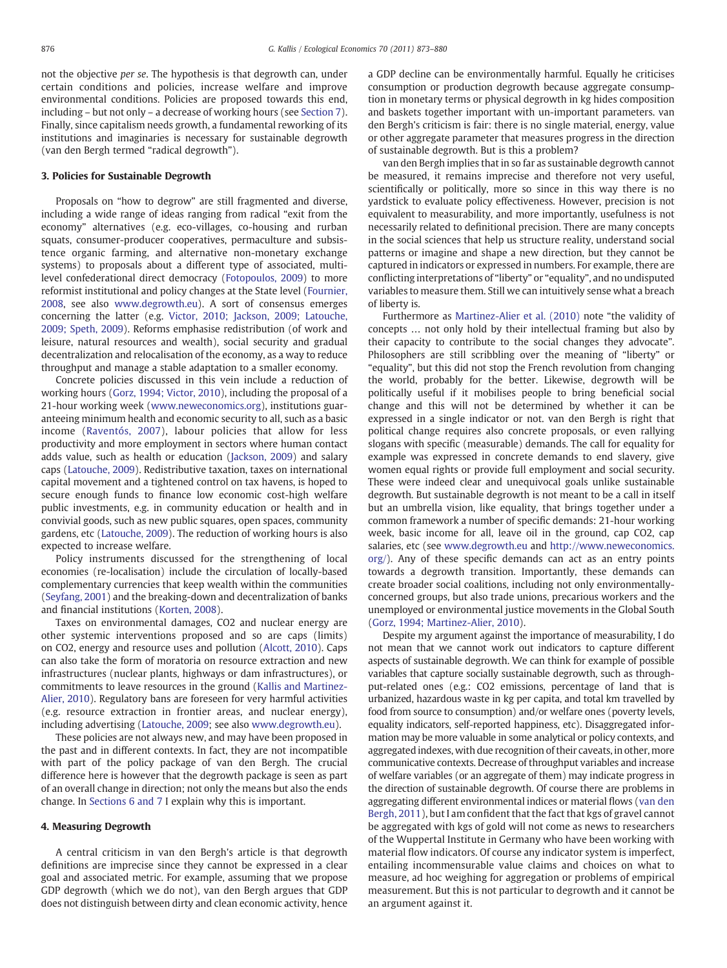<span id="page-3-0"></span>not the objective per se. The hypothesis is that degrowth can, under certain conditions and policies, increase welfare and improve environmental conditions. Policies are proposed towards this end, including – but not only – a decrease of working hours (see [Section 7](#page-5-0)). Finally, since capitalism needs growth, a fundamental reworking of its institutions and imaginaries is necessary for sustainable degrowth (van den Bergh termed "radical degrowth").

#### 3. Policies for Sustainable Degrowth

Proposals on "how to degrow" are still fragmented and diverse, including a wide range of ideas ranging from radical "exit from the economy" alternatives (e.g. eco-villages, co-housing and rurban squats, consumer-producer cooperatives, permaculture and subsistence organic farming, and alternative non-monetary exchange systems) to proposals about a different type of associated, multilevel confederational direct democracy ([Fotopoulos, 2009](#page-6-0)) to more reformist institutional and policy changes at the State level [\(Fournier,](#page-6-0) [2008,](#page-6-0) see also [www.degrowth.eu](http://www.degrowth.eu)). A sort of consensus emerges concerning the latter (e.g. [Victor, 2010; Jackson, 2009; Latouche,](#page-7-0) [2009; Speth, 2009](#page-7-0)). Reforms emphasise redistribution (of work and leisure, natural resources and wealth), social security and gradual decentralization and relocalisation of the economy, as a way to reduce throughput and manage a stable adaptation to a smaller economy.

Concrete policies discussed in this vein include a reduction of working hours [\(Gorz, 1994; Victor, 2010\)](#page-6-0), including the proposal of a 21-hour working week ([www.neweconomics.org\)](http://www.neweconomics.org), institutions guaranteeing minimum health and economic security to all, such as a basic income ([Raventós, 2007\)](#page-7-0), labour policies that allow for less productivity and more employment in sectors where human contact adds value, such as health or education [\(Jackson, 2009\)](#page-7-0) and salary caps ([Latouche, 2009](#page-7-0)). Redistributive taxation, taxes on international capital movement and a tightened control on tax havens, is hoped to secure enough funds to finance low economic cost-high welfare public investments, e.g. in community education or health and in convivial goods, such as new public squares, open spaces, community gardens, etc ([Latouche, 2009\)](#page-7-0). The reduction of working hours is also expected to increase welfare.

Policy instruments discussed for the strengthening of local economies (re-localisation) include the circulation of locally-based complementary currencies that keep wealth within the communities [\(Seyfang, 2001](#page-7-0)) and the breaking-down and decentralization of banks and financial institutions [\(Korten, 2008\)](#page-7-0).

Taxes on environmental damages, CO2 and nuclear energy are other systemic interventions proposed and so are caps (limits) on CO2, energy and resource uses and pollution ([Alcott, 2010\)](#page-6-0). Caps can also take the form of moratoria on resource extraction and new infrastructures (nuclear plants, highways or dam infrastructures), or commitments to leave resources in the ground ([Kallis and Martinez-](#page-7-0)[Alier, 2010](#page-7-0)). Regulatory bans are foreseen for very harmful activities (e.g. resource extraction in frontier areas, and nuclear energy), including advertising [\(Latouche, 2009](#page-7-0); see also [www.degrowth.eu\)](http://www.degrowth.eu).

These policies are not always new, and may have been proposed in the past and in different contexts. In fact, they are not incompatible with part of the policy package of van den Bergh. The crucial difference here is however that the degrowth package is seen as part of an overall change in direction; not only the means but also the ends change. In [Sections 6 and 7](#page-4-0) I explain why this is important.

#### 4. Measuring Degrowth

A central criticism in van den Bergh's article is that degrowth definitions are imprecise since they cannot be expressed in a clear goal and associated metric. For example, assuming that we propose GDP degrowth (which we do not), van den Bergh argues that GDP does not distinguish between dirty and clean economic activity, hence a GDP decline can be environmentally harmful. Equally he criticises consumption or production degrowth because aggregate consumption in monetary terms or physical degrowth in kg hides composition and baskets together important with un-important parameters. van den Bergh's criticism is fair: there is no single material, energy, value or other aggregate parameter that measures progress in the direction of sustainable degrowth. But is this a problem?

van den Bergh implies that in so far as sustainable degrowth cannot be measured, it remains imprecise and therefore not very useful, scientifically or politically, more so since in this way there is no yardstick to evaluate policy effectiveness. However, precision is not equivalent to measurability, and more importantly, usefulness is not necessarily related to definitional precision. There are many concepts in the social sciences that help us structure reality, understand social patterns or imagine and shape a new direction, but they cannot be captured in indicators or expressed in numbers. For example, there are conflicting interpretations of "liberty" or "equality", and no undisputed variables to measure them. Still we can intuitively sense what a breach of liberty is.

Furthermore as [Martinez-Alier et al. \(2010\)](#page-7-0) note "the validity of concepts … not only hold by their intellectual framing but also by their capacity to contribute to the social changes they advocate". Philosophers are still scribbling over the meaning of "liberty" or "equality", but this did not stop the French revolution from changing the world, probably for the better. Likewise, degrowth will be politically useful if it mobilises people to bring beneficial social change and this will not be determined by whether it can be expressed in a single indicator or not. van den Bergh is right that political change requires also concrete proposals, or even rallying slogans with specific (measurable) demands. The call for equality for example was expressed in concrete demands to end slavery, give women equal rights or provide full employment and social security. These were indeed clear and unequivocal goals unlike sustainable degrowth. But sustainable degrowth is not meant to be a call in itself but an umbrella vision, like equality, that brings together under a common framework a number of specific demands: 21-hour working week, basic income for all, leave oil in the ground, cap CO2, cap salaries, etc (see [www.degrowth.eu](http://www.degrowth.eu) and [http://www.neweconomics.](http://www.neweconomics.org/) [org/\)](http://www.neweconomics.org/). Any of these specific demands can act as an entry points towards a degrowth transition. Importantly, these demands can create broader social coalitions, including not only environmentallyconcerned groups, but also trade unions, precarious workers and the unemployed or environmental justice movements in the Global South [\(Gorz, 1994; Martinez-Alier, 2010\)](#page-6-0).

Despite my argument against the importance of measurability, I do not mean that we cannot work out indicators to capture different aspects of sustainable degrowth. We can think for example of possible variables that capture socially sustainable degrowth, such as throughput-related ones (e.g.: CO2 emissions, percentage of land that is urbanized, hazardous waste in kg per capita, and total km travelled by food from source to consumption) and/or welfare ones (poverty levels, equality indicators, self-reported happiness, etc). Disaggregated information may be more valuable in some analytical or policy contexts, and aggregated indexes, with due recognition of their caveats, in other, more communicative contexts. Decrease of throughput variables and increase of welfare variables (or an aggregate of them) may indicate progress in the direction of sustainable degrowth. Of course there are problems in aggregating different environmental indices or material flows ([van den](#page-7-0) [Bergh, 2011](#page-7-0)), but I am confident that the fact that kgs of gravel cannot be aggregated with kgs of gold will not come as news to researchers of the Wuppertal Institute in Germany who have been working with material flow indicators. Of course any indicator system is imperfect, entailing incommensurable value claims and choices on what to measure, ad hoc weighing for aggregation or problems of empirical measurement. But this is not particular to degrowth and it cannot be an argument against it.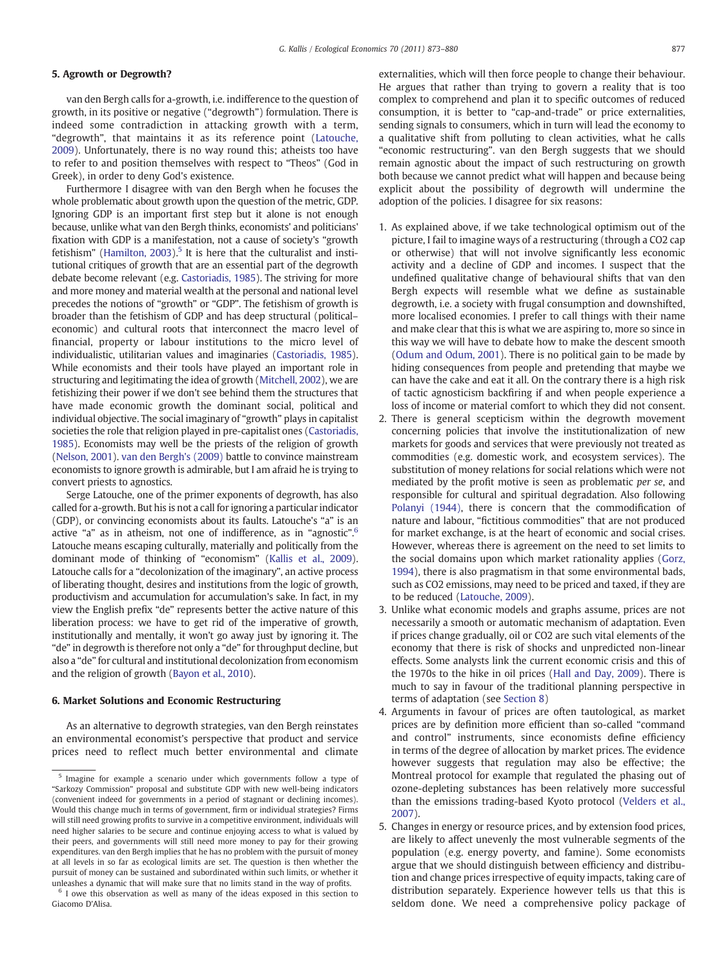### <span id="page-4-0"></span>5. Agrowth or Degrowth?

van den Bergh calls for a-growth, i.e. indifference to the question of growth, in its positive or negative ("degrowth") formulation. There is indeed some contradiction in attacking growth with a term, "degrowth", that maintains it as its reference point ([Latouche,](#page-7-0) [2009\)](#page-7-0). Unfortunately, there is no way round this; atheists too have to refer to and position themselves with respect to "Theos" (God in Greek), in order to deny God's existence.

Furthermore I disagree with van den Bergh when he focuses the whole problematic about growth upon the question of the metric, GDP. Ignoring GDP is an important first step but it alone is not enough because, unlike what van den Bergh thinks, economists' and politicians' fixation with GDP is a manifestation, not a cause of society's "growth fetishism" ([Hamilton, 2003\)](#page-7-0).<sup>5</sup> It is here that the culturalist and institutional critiques of growth that are an essential part of the degrowth debate become relevant (e.g. [Castoriadis, 1985\)](#page-6-0). The striving for more and more money and material wealth at the personal and national level precedes the notions of "growth" or "GDP". The fetishism of growth is broader than the fetishism of GDP and has deep structural (political– economic) and cultural roots that interconnect the macro level of financial, property or labour institutions to the micro level of individualistic, utilitarian values and imaginaries ([Castoriadis, 1985](#page-6-0)). While economists and their tools have played an important role in structuring and legitimating the idea of growth ([Mitchell, 2002](#page-7-0)), we are fetishizing their power if we don't see behind them the structures that have made economic growth the dominant social, political and individual objective. The social imaginary of "growth" plays in capitalist societies the role that religion played in pre-capitalist ones [\(Castoriadis,](#page-6-0) [1985](#page-6-0)). Economists may well be the priests of the religion of growth [\(Nelson, 2001](#page-7-0)). [van den Bergh's \(2009\)](#page-7-0) battle to convince mainstream economists to ignore growth is admirable, but I am afraid he is trying to convert priests to agnostics.

Serge Latouche, one of the primer exponents of degrowth, has also called for a-growth. But his is not a call for ignoring a particular indicator (GDP), or convincing economists about its faults. Latouche's "a" is an active "a" as in atheism, not one of indifference, as in "agnostic".<sup>6</sup> Latouche means escaping culturally, materially and politically from the dominant mode of thinking of "economism" ([Kallis et al., 2009](#page-7-0)). Latouche calls for a "decolonization of the imaginary", an active process of liberating thought, desires and institutions from the logic of growth, productivism and accumulation for accumulation's sake. In fact, in my view the English prefix "de" represents better the active nature of this liberation process: we have to get rid of the imperative of growth, institutionally and mentally, it won't go away just by ignoring it. The "de" in degrowth is therefore not only a "de" for throughput decline, but also a "de" for cultural and institutional decolonization from economism and the religion of growth ([Bayon et al., 2010](#page-6-0)).

#### 6. Market Solutions and Economic Restructuring

As an alternative to degrowth strategies, van den Bergh reinstates an environmental economist's perspective that product and service prices need to reflect much better environmental and climate externalities, which will then force people to change their behaviour. He argues that rather than trying to govern a reality that is too complex to comprehend and plan it to specific outcomes of reduced consumption, it is better to "cap-and-trade" or price externalities, sending signals to consumers, which in turn will lead the economy to a qualitative shift from polluting to clean activities, what he calls "economic restructuring". van den Bergh suggests that we should remain agnostic about the impact of such restructuring on growth both because we cannot predict what will happen and because being explicit about the possibility of degrowth will undermine the adoption of the policies. I disagree for six reasons:

- 1. As explained above, if we take technological optimism out of the picture, I fail to imagine ways of a restructuring (through a CO2 cap or otherwise) that will not involve significantly less economic activity and a decline of GDP and incomes. I suspect that the undefined qualitative change of behavioural shifts that van den Bergh expects will resemble what we define as sustainable degrowth, i.e. a society with frugal consumption and downshifted, more localised economies. I prefer to call things with their name and make clear that this is what we are aspiring to, more so since in this way we will have to debate how to make the descent smooth [\(Odum and Odum, 2001\)](#page-7-0). There is no political gain to be made by hiding consequences from people and pretending that maybe we can have the cake and eat it all. On the contrary there is a high risk of tactic agnosticism backfiring if and when people experience a loss of income or material comfort to which they did not consent.
- 2. There is general scepticism within the degrowth movement concerning policies that involve the institutionalization of new markets for goods and services that were previously not treated as commodities (e.g. domestic work, and ecosystem services). The substitution of money relations for social relations which were not mediated by the profit motive is seen as problematic per se, and responsible for cultural and spiritual degradation. Also following [Polanyi \(1944\),](#page-7-0) there is concern that the commodification of nature and labour, "fictitious commodities" that are not produced for market exchange, is at the heart of economic and social crises. However, whereas there is agreement on the need to set limits to the social domains upon which market rationality applies ([Gorz,](#page-6-0) [1994](#page-6-0)), there is also pragmatism in that some environmental bads, such as CO2 emissions, may need to be priced and taxed, if they are to be reduced [\(Latouche, 2009](#page-7-0)).
- 3. Unlike what economic models and graphs assume, prices are not necessarily a smooth or automatic mechanism of adaptation. Even if prices change gradually, oil or CO2 are such vital elements of the economy that there is risk of shocks and unpredicted non-linear effects. Some analysts link the current economic crisis and this of the 1970s to the hike in oil prices [\(Hall and Day, 2009](#page-7-0)). There is much to say in favour of the traditional planning perspective in terms of adaptation (see [Section 8](#page-5-0))
- 4. Arguments in favour of prices are often tautological, as market prices are by definition more efficient than so-called "command and control" instruments, since economists define efficiency in terms of the degree of allocation by market prices. The evidence however suggests that regulation may also be effective; the Montreal protocol for example that regulated the phasing out of ozone-depleting substances has been relatively more successful than the emissions trading-based Kyoto protocol ([Velders et al.,](#page-7-0) [2007](#page-7-0)).
- 5. Changes in energy or resource prices, and by extension food prices, are likely to affect unevenly the most vulnerable segments of the population (e.g. energy poverty, and famine). Some economists argue that we should distinguish between efficiency and distribution and change prices irrespective of equity impacts, taking care of distribution separately. Experience however tells us that this is seldom done. We need a comprehensive policy package of

<sup>5</sup> Imagine for example a scenario under which governments follow a type of "Sarkozy Commission" proposal and substitute GDP with new well-being indicators (convenient indeed for governments in a period of stagnant or declining incomes). Would this change much in terms of government, firm or individual strategies? Firms will still need growing profits to survive in a competitive environment, individuals will need higher salaries to be secure and continue enjoying access to what is valued by their peers, and governments will still need more money to pay for their growing expenditures. van den Bergh implies that he has no problem with the pursuit of money at all levels in so far as ecological limits are set. The question is then whether the pursuit of money can be sustained and subordinated within such limits, or whether it unleashes a dynamic that will make sure that no limits stand in the way of profits.

<sup>&</sup>lt;sup>6</sup> I owe this observation as well as many of the ideas exposed in this section to Giacomo D'Alisa.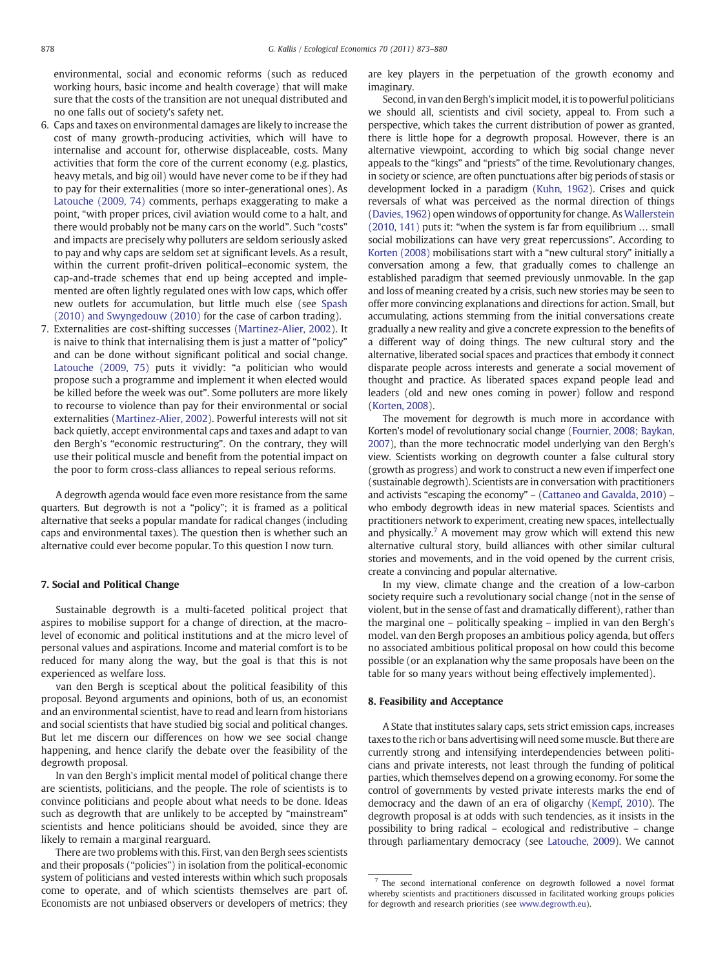<span id="page-5-0"></span>environmental, social and economic reforms (such as reduced working hours, basic income and health coverage) that will make sure that the costs of the transition are not unequal distributed and no one falls out of society's safety net.

- 6. Caps and taxes on environmental damages are likely to increase the cost of many growth-producing activities, which will have to internalise and account for, otherwise displaceable, costs. Many activities that form the core of the current economy (e.g. plastics, heavy metals, and big oil) would have never come to be if they had to pay for their externalities (more so inter-generational ones). As [Latouche \(2009, 74\)](#page-7-0) comments, perhaps exaggerating to make a point, "with proper prices, civil aviation would come to a halt, and there would probably not be many cars on the world". Such "costs" and impacts are precisely why polluters are seldom seriously asked to pay and why caps are seldom set at significant levels. As a result, within the current profit-driven political–economic system, the cap-and-trade schemes that end up being accepted and implemented are often lightly regulated ones with low caps, which offer new outlets for accumulation, but little much else (see [Spash](#page-7-0) [\(2010\) and Swyngedouw \(2010\)](#page-7-0) for the case of carbon trading).
- 7. Externalities are cost-shifting successes [\(Martinez-Alier, 2002](#page-7-0)). It is naive to think that internalising them is just a matter of "policy" and can be done without significant political and social change. [Latouche \(2009, 75\)](#page-7-0) puts it vividly: "a politician who would propose such a programme and implement it when elected would be killed before the week was out". Some polluters are more likely to recourse to violence than pay for their environmental or social externalities ([Martinez-Alier, 2002](#page-7-0)). Powerful interests will not sit back quietly, accept environmental caps and taxes and adapt to van den Bergh's "economic restructuring". On the contrary, they will use their political muscle and benefit from the potential impact on the poor to form cross-class alliances to repeal serious reforms.

A degrowth agenda would face even more resistance from the same quarters. But degrowth is not a "policy"; it is framed as a political alternative that seeks a popular mandate for radical changes (including caps and environmental taxes). The question then is whether such an alternative could ever become popular. To this question I now turn.

#### 7. Social and Political Change

Sustainable degrowth is a multi-faceted political project that aspires to mobilise support for a change of direction, at the macrolevel of economic and political institutions and at the micro level of personal values and aspirations. Income and material comfort is to be reduced for many along the way, but the goal is that this is not experienced as welfare loss.

van den Bergh is sceptical about the political feasibility of this proposal. Beyond arguments and opinions, both of us, an economist and an environmental scientist, have to read and learn from historians and social scientists that have studied big social and political changes. But let me discern our differences on how we see social change happening, and hence clarify the debate over the feasibility of the degrowth proposal.

In van den Bergh's implicit mental model of political change there are scientists, politicians, and the people. The role of scientists is to convince politicians and people about what needs to be done. Ideas such as degrowth that are unlikely to be accepted by "mainstream" scientists and hence politicians should be avoided, since they are likely to remain a marginal rearguard.

There are two problems with this. First, van den Bergh sees scientists and their proposals ("policies") in isolation from the political-economic system of politicians and vested interests within which such proposals come to operate, and of which scientists themselves are part of. Economists are not unbiased observers or developers of metrics; they are key players in the perpetuation of the growth economy and imaginary.

Second, in van den Bergh's implicit model, it is to powerful politicians we should all, scientists and civil society, appeal to. From such a perspective, which takes the current distribution of power as granted, there is little hope for a degrowth proposal. However, there is an alternative viewpoint, according to which big social change never appeals to the "kings" and "priests" of the time. Revolutionary changes, in society or science, are often punctuations after big periods of stasis or development locked in a paradigm ([Kuhn, 1962](#page-7-0)). Crises and quick reversals of what was perceived as the normal direction of things [\(Davies, 1962\)](#page-6-0) open windows of opportunity for change. As [Wallerstein](#page-7-0) [\(2010, 141\)](#page-7-0) puts it: "when the system is far from equilibrium … small social mobilizations can have very great repercussions". According to [Korten \(2008\)](#page-7-0) mobilisations start with a "new cultural story" initially a conversation among a few, that gradually comes to challenge an established paradigm that seemed previously unmovable. In the gap and loss of meaning created by a crisis, such new stories may be seen to offer more convincing explanations and directions for action. Small, but accumulating, actions stemming from the initial conversations create gradually a new reality and give a concrete expression to the benefits of a different way of doing things. The new cultural story and the alternative, liberated social spaces and practices that embody it connect disparate people across interests and generate a social movement of thought and practice. As liberated spaces expand people lead and leaders (old and new ones coming in power) follow and respond [\(Korten, 2008](#page-7-0)).

The movement for degrowth is much more in accordance with Korten's model of revolutionary social change [\(Fournier, 2008; Baykan,](#page-6-0) [2007](#page-6-0)), than the more technocratic model underlying van den Bergh's view. Scientists working on degrowth counter a false cultural story (growth as progress) and work to construct a new even if imperfect one (sustainable degrowth). Scientists are in conversation with practitioners and activists "escaping the economy" – ([Cattaneo and Gavalda, 2010\)](#page-6-0) – who embody degrowth ideas in new material spaces. Scientists and practitioners network to experiment, creating new spaces, intellectually and physically.<sup>7</sup> A movement may grow which will extend this new alternative cultural story, build alliances with other similar cultural stories and movements, and in the void opened by the current crisis, create a convincing and popular alternative.

In my view, climate change and the creation of a low-carbon society require such a revolutionary social change (not in the sense of violent, but in the sense of fast and dramatically different), rather than the marginal one – politically speaking – implied in van den Bergh's model. van den Bergh proposes an ambitious policy agenda, but offers no associated ambitious political proposal on how could this become possible (or an explanation why the same proposals have been on the table for so many years without being effectively implemented).

#### 8. Feasibility and Acceptance

A State that institutes salary caps, sets strict emission caps, increases taxes to the rich or bans advertising will need some muscle. But there are currently strong and intensifying interdependencies between politicians and private interests, not least through the funding of political parties, which themselves depend on a growing economy. For some the control of governments by vested private interests marks the end of democracy and the dawn of an era of oligarchy ([Kempf, 2010](#page-7-0)). The degrowth proposal is at odds with such tendencies, as it insists in the possibility to bring radical – ecological and redistributive – change through parliamentary democracy (see [Latouche, 2009\)](#page-7-0). We cannot

<sup>7</sup> The second international conference on degrowth followed a novel format whereby scientists and practitioners discussed in facilitated working groups policies for degrowth and research priorities (see [www.degrowth.eu](http://www.degrowth.eu)).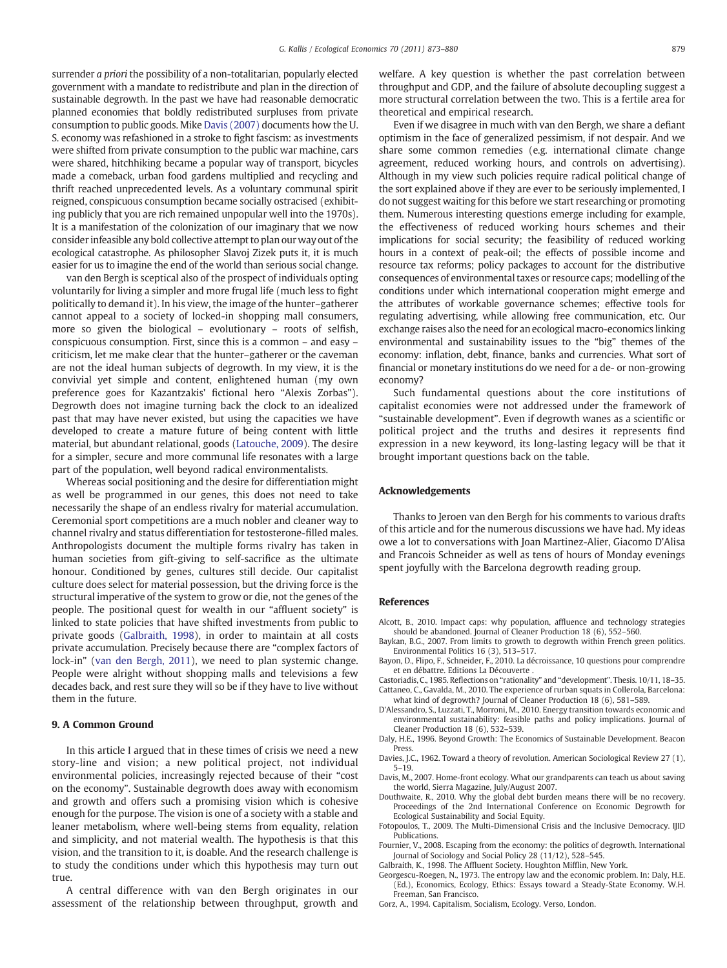<span id="page-6-0"></span>surrender a priori the possibility of a non-totalitarian, popularly elected government with a mandate to redistribute and plan in the direction of sustainable degrowth. In the past we have had reasonable democratic planned economies that boldly redistributed surpluses from private consumption to public goods. Mike Davis (2007) documents how the U. S. economy was refashioned in a stroke to fight fascism: as investments were shifted from private consumption to the public war machine, cars were shared, hitchhiking became a popular way of transport, bicycles made a comeback, urban food gardens multiplied and recycling and thrift reached unprecedented levels. As a voluntary communal spirit reigned, conspicuous consumption became socially ostracised (exhibiting publicly that you are rich remained unpopular well into the 1970s). It is a manifestation of the colonization of our imaginary that we now consider infeasible any bold collective attempt to plan our way out of the ecological catastrophe. As philosopher Slavoj Zizek puts it, it is much easier for us to imagine the end of the world than serious social change.

van den Bergh is sceptical also of the prospect of individuals opting voluntarily for living a simpler and more frugal life (much less to fight politically to demand it). In his view, the image of the hunter–gatherer cannot appeal to a society of locked-in shopping mall consumers, more so given the biological – evolutionary – roots of selfish, conspicuous consumption. First, since this is a common – and easy – criticism, let me make clear that the hunter–gatherer or the caveman are not the ideal human subjects of degrowth. In my view, it is the convivial yet simple and content, enlightened human (my own preference goes for Kazantzakis' fictional hero "Alexis Zorbas"). Degrowth does not imagine turning back the clock to an idealized past that may have never existed, but using the capacities we have developed to create a mature future of being content with little material, but abundant relational, goods ([Latouche, 2009\)](#page-7-0). The desire for a simpler, secure and more communal life resonates with a large part of the population, well beyond radical environmentalists.

Whereas social positioning and the desire for differentiation might as well be programmed in our genes, this does not need to take necessarily the shape of an endless rivalry for material accumulation. Ceremonial sport competitions are a much nobler and cleaner way to channel rivalry and status differentiation for testosterone-filled males. Anthropologists document the multiple forms rivalry has taken in human societies from gift-giving to self-sacrifice as the ultimate honour. Conditioned by genes, cultures still decide. Our capitalist culture does select for material possession, but the driving force is the structural imperative of the system to grow or die, not the genes of the people. The positional quest for wealth in our "affluent society" is linked to state policies that have shifted investments from public to private goods (Galbraith, 1998), in order to maintain at all costs private accumulation. Precisely because there are "complex factors of lock-in" [\(van den Bergh, 2011](#page-7-0)), we need to plan systemic change. People were alright without shopping malls and televisions a few decades back, and rest sure they will so be if they have to live without them in the future.

#### 9. A Common Ground

In this article I argued that in these times of crisis we need a new story-line and vision; a new political project, not individual environmental policies, increasingly rejected because of their "cost on the economy". Sustainable degrowth does away with economism and growth and offers such a promising vision which is cohesive enough for the purpose. The vision is one of a society with a stable and leaner metabolism, where well-being stems from equality, relation and simplicity, and not material wealth. The hypothesis is that this vision, and the transition to it, is doable. And the research challenge is to study the conditions under which this hypothesis may turn out true.

A central difference with van den Bergh originates in our assessment of the relationship between throughput, growth and welfare. A key question is whether the past correlation between throughput and GDP, and the failure of absolute decoupling suggest a more structural correlation between the two. This is a fertile area for theoretical and empirical research.

Even if we disagree in much with van den Bergh, we share a defiant optimism in the face of generalized pessimism, if not despair. And we share some common remedies (e.g. international climate change agreement, reduced working hours, and controls on advertising). Although in my view such policies require radical political change of the sort explained above if they are ever to be seriously implemented, I do not suggest waiting for this before we start researching or promoting them. Numerous interesting questions emerge including for example, the effectiveness of reduced working hours schemes and their implications for social security; the feasibility of reduced working hours in a context of peak-oil; the effects of possible income and resource tax reforms; policy packages to account for the distributive consequences of environmental taxes or resource caps; modelling of the conditions under which international cooperation might emerge and the attributes of workable governance schemes; effective tools for regulating advertising, while allowing free communication, etc. Our exchange raises also the need for an ecological macro-economics linking environmental and sustainability issues to the "big" themes of the economy: inflation, debt, finance, banks and currencies. What sort of financial or monetary institutions do we need for a de- or non-growing economy?

Such fundamental questions about the core institutions of capitalist economies were not addressed under the framework of "sustainable development". Even if degrowth wanes as a scientific or political project and the truths and desires it represents find expression in a new keyword, its long-lasting legacy will be that it brought important questions back on the table.

#### Acknowledgements

Thanks to Jeroen van den Bergh for his comments to various drafts of this article and for the numerous discussions we have had. My ideas owe a lot to conversations with Joan Martinez-Alier, Giacomo D'Alisa and Francois Schneider as well as tens of hours of Monday evenings spent joyfully with the Barcelona degrowth reading group.

#### References

- Alcott, B., 2010. Impact caps: why population, affluence and technology strategies should be abandoned. Journal of Cleaner Production 18 (6), 552–560.
- Baykan, B.G., 2007. From limits to growth to degrowth within French green politics. Environmental Politics 16 (3), 513–517.
- Bayon, D., Flipo, F., Schneider, F., 2010. La décroissance, 10 questions pour comprendre et en débattre. Editions La Découverte
- Castoriadis, C., 1985. Reflections on "rationality" and "development". Thesis. 10/11, 18–35. Cattaneo, C., Gavalda, M., 2010. The experience of rurban squats in Collerola, Barcelona: what kind of degrowth? Journal of Cleaner Production 18 (6), 581–589.
- D'Alessandro, S., Luzzati, T., Morroni, M., 2010. Energy transition towards economic and environmental sustainability: feasible paths and policy implications. Journal of Cleaner Production 18 (6), 532–539.
- Daly, H.E., 1996. Beyond Growth: The Economics of Sustainable Development. Beacon Press.
- Davies, J.C., 1962. Toward a theory of revolution. American Sociological Review 27 (1), 5–19.
- Davis, M., 2007. Home-front ecology. What our grandparents can teach us about saving the world, Sierra Magazine, July/August 2007.
- Douthwaite, R., 2010. Why the global debt burden means there will be no recovery. Proceedings of the 2nd International Conference on Economic Degrowth for Ecological Sustainability and Social Equity.
- Fotopoulos, T., 2009. The Multi-Dimensional Crisis and the Inclusive Democracy. IJID Publications.
- Fournier, V., 2008. Escaping from the economy: the politics of degrowth. International Journal of Sociology and Social Policy 28 (11/12), 528–545.
- Galbraith, K., 1998. The Affluent Society. Houghton Mifflin, New York.
- Georgescu-Roegen, N., 1973. The entropy law and the economic problem. In: Daly, H.E. (Ed.), Economics, Ecology, Ethics: Essays toward a Steady-State Economy. W.H. Freeman, San Francisco.
- Gorz, A., 1994. Capitalism, Socialism, Ecology. Verso, London.